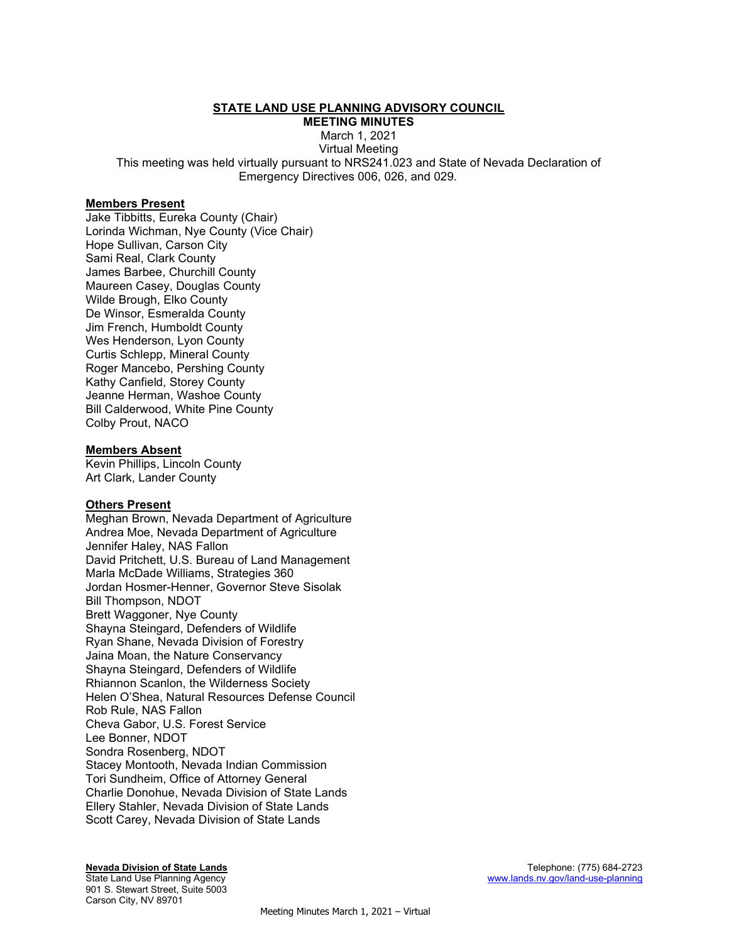## STATE LAND USE PLANNING ADVISORY COUNCIL

MEETING MINUTES

March 1, 2021

Virtual Meeting This meeting was held virtually pursuant to NRS241.023 and State of Nevada Declaration of Emergency Directives 006, 026, and 029.

#### Members Present

Jake Tibbitts, Eureka County (Chair) Lorinda Wichman, Nye County (Vice Chair) Hope Sullivan, Carson City Sami Real, Clark County James Barbee, Churchill County Maureen Casey, Douglas County Wilde Brough, Elko County De Winsor, Esmeralda County Jim French, Humboldt County Wes Henderson, Lyon County Curtis Schlepp, Mineral County Roger Mancebo, Pershing County Kathy Canfield, Storey County Jeanne Herman, Washoe County Bill Calderwood, White Pine County Colby Prout, NACO

#### Members Absent

Kevin Phillips, Lincoln County Art Clark, Lander County

#### Others Present

Meghan Brown, Nevada Department of Agriculture Andrea Moe, Nevada Department of Agriculture Jennifer Haley, NAS Fallon David Pritchett, U.S. Bureau of Land Management Marla McDade Williams, Strategies 360 Jordan Hosmer-Henner, Governor Steve Sisolak Bill Thompson, NDOT Brett Waggoner, Nye County Shayna Steingard, Defenders of Wildlife Ryan Shane, Nevada Division of Forestry Jaina Moan, the Nature Conservancy Shayna Steingard, Defenders of Wildlife Rhiannon Scanlon, the Wilderness Society Helen O'Shea, Natural Resources Defense Council Rob Rule, NAS Fallon Cheva Gabor, U.S. Forest Service Lee Bonner, NDOT Sondra Rosenberg, NDOT Stacey Montooth, Nevada Indian Commission Tori Sundheim, Office of Attorney General Charlie Donohue, Nevada Division of State Lands Ellery Stahler, Nevada Division of State Lands Scott Carey, Nevada Division of State Lands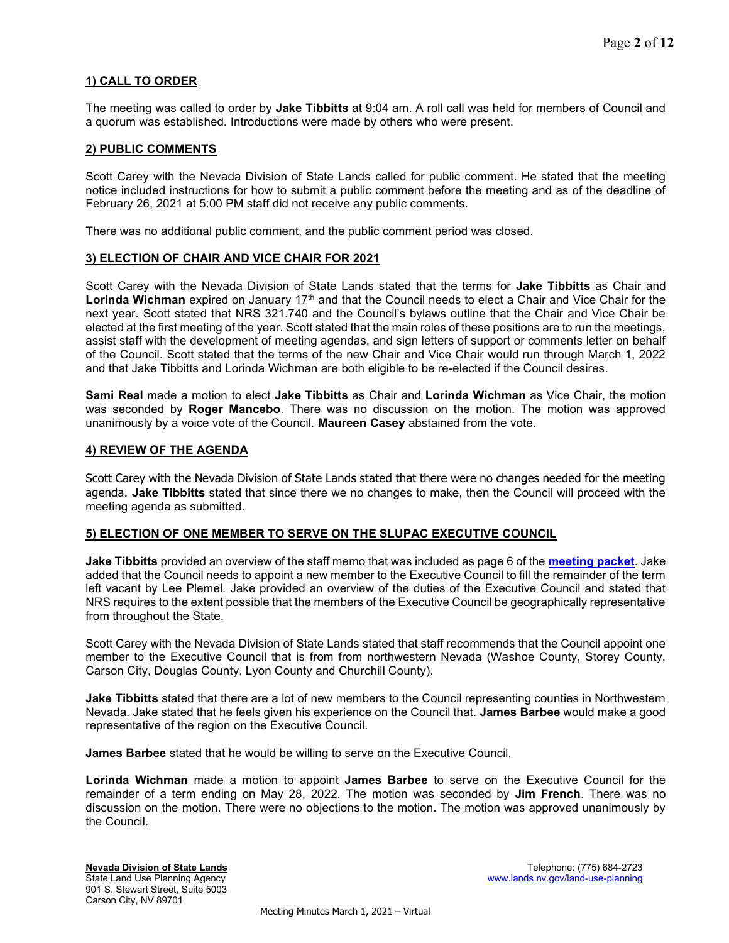## 1) CALL TO ORDER

The meeting was called to order by **Jake Tibbitts** at 9:04 am. A roll call was held for members of Council and a quorum was established. Introductions were made by others who were present.

### 2) PUBLIC COMMENTS

Scott Carey with the Nevada Division of State Lands called for public comment. He stated that the meeting notice included instructions for how to submit a public comment before the meeting and as of the deadline of February 26, 2021 at 5:00 PM staff did not receive any public comments.

There was no additional public comment, and the public comment period was closed.

#### 3) ELECTION OF CHAIR AND VICE CHAIR FOR 2021

Scott Carey with the Nevada Division of State Lands stated that the terms for Jake Tibbitts as Chair and Lorinda Wichman expired on January 17<sup>th</sup> and that the Council needs to elect a Chair and Vice Chair for the next year. Scott stated that NRS 321.740 and the Council's bylaws outline that the Chair and Vice Chair be elected at the first meeting of the year. Scott stated that the main roles of these positions are to run the meetings, assist staff with the development of meeting agendas, and sign letters of support or comments letter on behalf of the Council. Scott stated that the terms of the new Chair and Vice Chair would run through March 1, 2022 and that Jake Tibbitts and Lorinda Wichman are both eligible to be re-elected if the Council desires.

Sami Real made a motion to elect Jake Tibbitts as Chair and Lorinda Wichman as Vice Chair, the motion was seconded by Roger Mancebo. There was no discussion on the motion. The motion was approved unanimously by a voice vote of the Council. Maureen Casey abstained from the vote.

#### 4) REVIEW OF THE AGENDA

Scott Carey with the Nevada Division of State Lands stated that there were no changes needed for the meeting agenda. Jake Tibbitts stated that since there we no changes to make, then the Council will proceed with the meeting agenda as submitted.

### 5) ELECTION OF ONE MEMBER TO SERVE ON THE SLUPAC EXECUTIVE COUNCIL

**Jake Tibbitts** provided an overview of the staff memo that was included as page 6 of the **[meeting packet](https://clearinghouse.nv.gov/HTMLtoPDF/ViewSavedForms.aspx?DocLoc=SITE&DocKey=2003&ViewKey=HRT4AU6EA3)**. Jake added that the Council needs to appoint a new member to the Executive Council to fill the remainder of the term left vacant by Lee Plemel. Jake provided an overview of the duties of the Executive Council and stated that NRS requires to the extent possible that the members of the Executive Council be geographically representative from throughout the State.

Scott Carey with the Nevada Division of State Lands stated that staff recommends that the Council appoint one member to the Executive Council that is from from northwestern Nevada (Washoe County, Storey County, Carson City, Douglas County, Lyon County and Churchill County).

**Jake Tibbitts** stated that there are a lot of new members to the Council representing counties in Northwestern Nevada. Jake stated that he feels given his experience on the Council that. James Barbee would make a good representative of the region on the Executive Council.

James Barbee stated that he would be willing to serve on the Executive Council.

Lorinda Wichman made a motion to appoint James Barbee to serve on the Executive Council for the remainder of a term ending on May 28, 2022. The motion was seconded by **Jim French**. There was no discussion on the motion. There were no objections to the motion. The motion was approved unanimously by the Council.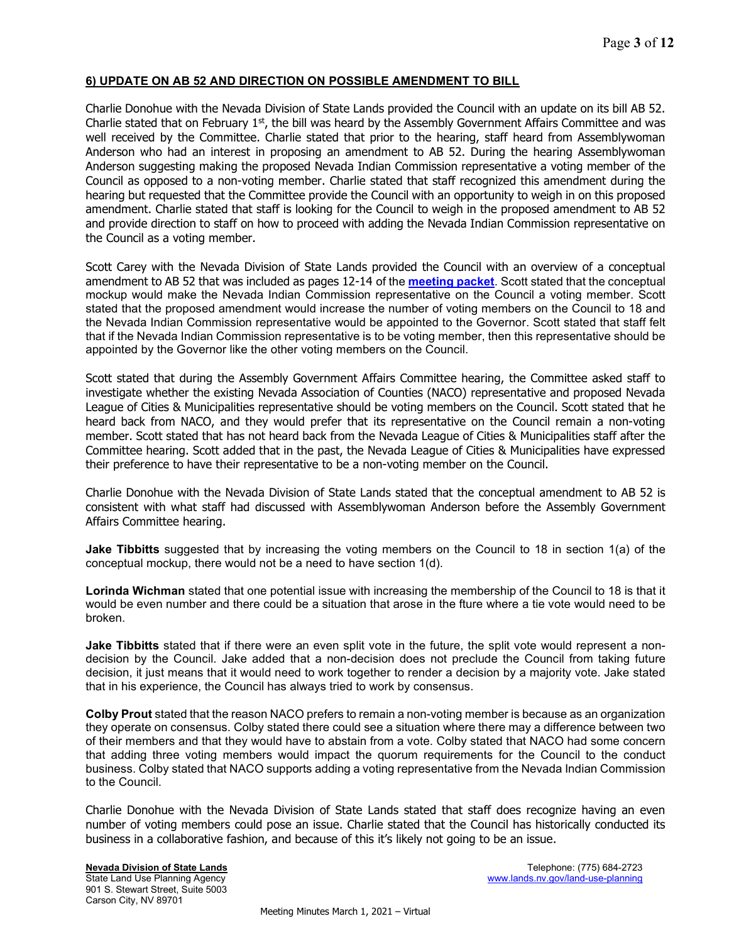# 6) UPDATE ON AB 52 AND DIRECTION ON POSSIBLE AMENDMENT TO BILL

Charlie Donohue with the Nevada Division of State Lands provided the Council with an update on its bill AB 52. Charlie stated that on February  $1<sup>st</sup>$ , the bill was heard by the Assembly Government Affairs Committee and was well received by the Committee. Charlie stated that prior to the hearing, staff heard from Assemblywoman Anderson who had an interest in proposing an amendment to AB 52. During the hearing Assemblywoman Anderson suggesting making the proposed Nevada Indian Commission representative a voting member of the Council as opposed to a non-voting member. Charlie stated that staff recognized this amendment during the hearing but requested that the Committee provide the Council with an opportunity to weigh in on this proposed amendment. Charlie stated that staff is looking for the Council to weigh in the proposed amendment to AB 52 and provide direction to staff on how to proceed with adding the Nevada Indian Commission representative on the Council as a voting member.

Scott Carey with the Nevada Division of State Lands provided the Council with an overview of a conceptual amendment to AB 52 that was included as pages 12-14 of the [meeting packet](https://clearinghouse.nv.gov/HTMLtoPDF/ViewSavedForms.aspx?DocLoc=SITE&DocKey=2003&ViewKey=HRT4AU6EA3). Scott stated that the conceptual mockup would make the Nevada Indian Commission representative on the Council a voting member. Scott stated that the proposed amendment would increase the number of voting members on the Council to 18 and the Nevada Indian Commission representative would be appointed to the Governor. Scott stated that staff felt that if the Nevada Indian Commission representative is to be voting member, then this representative should be appointed by the Governor like the other voting members on the Council.

Scott stated that during the Assembly Government Affairs Committee hearing, the Committee asked staff to investigate whether the existing Nevada Association of Counties (NACO) representative and proposed Nevada League of Cities & Municipalities representative should be voting members on the Council. Scott stated that he heard back from NACO, and they would prefer that its representative on the Council remain a non-voting member. Scott stated that has not heard back from the Nevada League of Cities & Municipalities staff after the Committee hearing. Scott added that in the past, the Nevada League of Cities & Municipalities have expressed their preference to have their representative to be a non-voting member on the Council.

Charlie Donohue with the Nevada Division of State Lands stated that the conceptual amendment to AB 52 is consistent with what staff had discussed with Assemblywoman Anderson before the Assembly Government Affairs Committee hearing.

**Jake Tibbitts** suggested that by increasing the voting members on the Council to 18 in section 1(a) of the conceptual mockup, there would not be a need to have section 1(d).

Lorinda Wichman stated that one potential issue with increasing the membership of the Council to 18 is that it would be even number and there could be a situation that arose in the fture where a tie vote would need to be broken.

Jake Tibbitts stated that if there were an even split vote in the future, the split vote would represent a nondecision by the Council. Jake added that a non-decision does not preclude the Council from taking future decision, it just means that it would need to work together to render a decision by a majority vote. Jake stated that in his experience, the Council has always tried to work by consensus.

Colby Prout stated that the reason NACO prefers to remain a non-voting member is because as an organization they operate on consensus. Colby stated there could see a situation where there may a difference between two of their members and that they would have to abstain from a vote. Colby stated that NACO had some concern that adding three voting members would impact the quorum requirements for the Council to the conduct business. Colby stated that NACO supports adding a voting representative from the Nevada Indian Commission to the Council.

Charlie Donohue with the Nevada Division of State Lands stated that staff does recognize having an even number of voting members could pose an issue. Charlie stated that the Council has historically conducted its business in a collaborative fashion, and because of this it's likely not going to be an issue.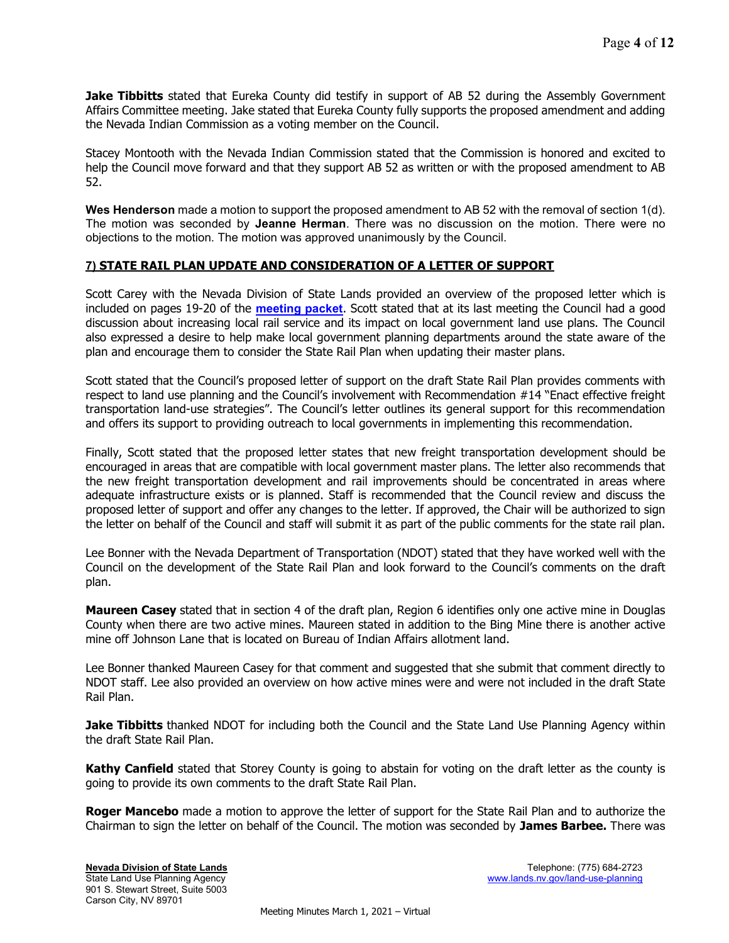**Jake Tibbitts** stated that Eureka County did testify in support of AB 52 during the Assembly Government Affairs Committee meeting. Jake stated that Eureka County fully supports the proposed amendment and adding the Nevada Indian Commission as a voting member on the Council.

Stacey Montooth with the Nevada Indian Commission stated that the Commission is honored and excited to help the Council move forward and that they support AB 52 as written or with the proposed amendment to AB 52.

Wes Henderson made a motion to support the proposed amendment to AB 52 with the removal of section 1(d). The motion was seconded by Jeanne Herman. There was no discussion on the motion. There were no objections to the motion. The motion was approved unanimously by the Council.

# 7) STATE RAIL PLAN UPDATE AND CONSIDERATION OF A LETTER OF SUPPORT

Scott Carey with the Nevada Division of State Lands provided an overview of the proposed letter which is included on pages 19-20 of the [meeting packet](https://clearinghouse.nv.gov/HTMLtoPDF/ViewSavedForms.aspx?DocLoc=SITE&DocKey=2003&ViewKey=HRT4AU6EA3). Scott stated that at its last meeting the Council had a good discussion about increasing local rail service and its impact on local government land use plans. The Council also expressed a desire to help make local government planning departments around the state aware of the plan and encourage them to consider the State Rail Plan when updating their master plans.

Scott stated that the Council's proposed letter of support on the draft State Rail Plan provides comments with respect to land use planning and the Council's involvement with Recommendation #14 "Enact effective freight transportation land-use strategies". The Council's letter outlines its general support for this recommendation and offers its support to providing outreach to local governments in implementing this recommendation.

Finally, Scott stated that the proposed letter states that new freight transportation development should be encouraged in areas that are compatible with local government master plans. The letter also recommends that the new freight transportation development and rail improvements should be concentrated in areas where adequate infrastructure exists or is planned. Staff is recommended that the Council review and discuss the proposed letter of support and offer any changes to the letter. If approved, the Chair will be authorized to sign the letter on behalf of the Council and staff will submit it as part of the public comments for the state rail plan.

Lee Bonner with the Nevada Department of Transportation (NDOT) stated that they have worked well with the Council on the development of the State Rail Plan and look forward to the Council's comments on the draft plan.

Maureen Casey stated that in section 4 of the draft plan, Region 6 identifies only one active mine in Douglas County when there are two active mines. Maureen stated in addition to the Bing Mine there is another active mine off Johnson Lane that is located on Bureau of Indian Affairs allotment land.

Lee Bonner thanked Maureen Casey for that comment and suggested that she submit that comment directly to NDOT staff. Lee also provided an overview on how active mines were and were not included in the draft State Rail Plan.

**Jake Tibbitts** thanked NDOT for including both the Council and the State Land Use Planning Agency within the draft State Rail Plan.

Kathy Canfield stated that Storey County is going to abstain for voting on the draft letter as the county is going to provide its own comments to the draft State Rail Plan.

Roger Mancebo made a motion to approve the letter of support for the State Rail Plan and to authorize the Chairman to sign the letter on behalf of the Council. The motion was seconded by James Barbee. There was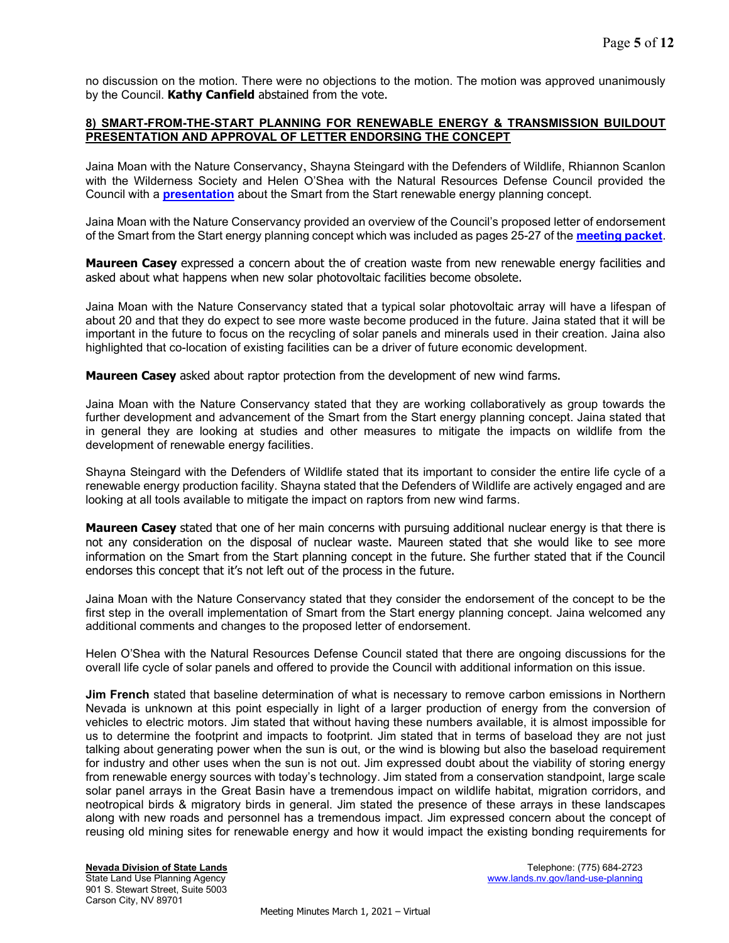no discussion on the motion. There were no objections to the motion. The motion was approved unanimously by the Council. Kathy Canfield abstained from the vote.

### 8) SMART-FROM-THE-START PLANNING FOR RENEWABLE ENERGY & TRANSMISSION BUILDOUT PRESENTATION AND APPROVAL OF LETTER ENDORSING THE CONCEPT

Jaina Moan with the Nature Conservancy, Shayna Steingard with the Defenders of Wildlife, Rhiannon Scanlon with the Wilderness Society and Helen O'Shea with the Natural Resources Defense Council provided the Council with a **[presentation](https://lands.nv.gov/uploads/documents/Smart_from_the_Start_Energy_Planning_Presentation.pdf)** about the Smart from the Start renewable energy planning concept.

Jaina Moan with the Nature Conservancy provided an overview of the Council's proposed letter of endorsement of the Smart from the Start energy planning concept which was included as pages 25-27 of the [meeting packet](https://clearinghouse.nv.gov/HTMLtoPDF/ViewSavedForms.aspx?DocLoc=SITE&DocKey=2003&ViewKey=HRT4AU6EA3).

**Maureen Casey** expressed a concern about the of creation waste from new renewable energy facilities and asked about what happens when new solar photovoltaic facilities become obsolete.

Jaina Moan with the Nature Conservancy stated that a typical solar photovoltaic array will have a lifespan of about 20 and that they do expect to see more waste become produced in the future. Jaina stated that it will be important in the future to focus on the recycling of solar panels and minerals used in their creation. Jaina also highlighted that co-location of existing facilities can be a driver of future economic development.

**Maureen Casey** asked about raptor protection from the development of new wind farms.

Jaina Moan with the Nature Conservancy stated that they are working collaboratively as group towards the further development and advancement of the Smart from the Start energy planning concept. Jaina stated that in general they are looking at studies and other measures to mitigate the impacts on wildlife from the development of renewable energy facilities.

Shayna Steingard with the Defenders of Wildlife stated that its important to consider the entire life cycle of a renewable energy production facility. Shayna stated that the Defenders of Wildlife are actively engaged and are looking at all tools available to mitigate the impact on raptors from new wind farms.

**Maureen Casey** stated that one of her main concerns with pursuing additional nuclear energy is that there is not any consideration on the disposal of nuclear waste. Maureen stated that she would like to see more information on the Smart from the Start planning concept in the future. She further stated that if the Council endorses this concept that it's not left out of the process in the future.

Jaina Moan with the Nature Conservancy stated that they consider the endorsement of the concept to be the first step in the overall implementation of Smart from the Start energy planning concept. Jaina welcomed any additional comments and changes to the proposed letter of endorsement.

Helen O'Shea with the Natural Resources Defense Council stated that there are ongoing discussions for the overall life cycle of solar panels and offered to provide the Council with additional information on this issue.

Jim French stated that baseline determination of what is necessary to remove carbon emissions in Northern Nevada is unknown at this point especially in light of a larger production of energy from the conversion of vehicles to electric motors. Jim stated that without having these numbers available, it is almost impossible for us to determine the footprint and impacts to footprint. Jim stated that in terms of baseload they are not just talking about generating power when the sun is out, or the wind is blowing but also the baseload requirement for industry and other uses when the sun is not out. Jim expressed doubt about the viability of storing energy from renewable energy sources with today's technology. Jim stated from a conservation standpoint, large scale solar panel arrays in the Great Basin have a tremendous impact on wildlife habitat, migration corridors, and neotropical birds & migratory birds in general. Jim stated the presence of these arrays in these landscapes along with new roads and personnel has a tremendous impact. Jim expressed concern about the concept of reusing old mining sites for renewable energy and how it would impact the existing bonding requirements for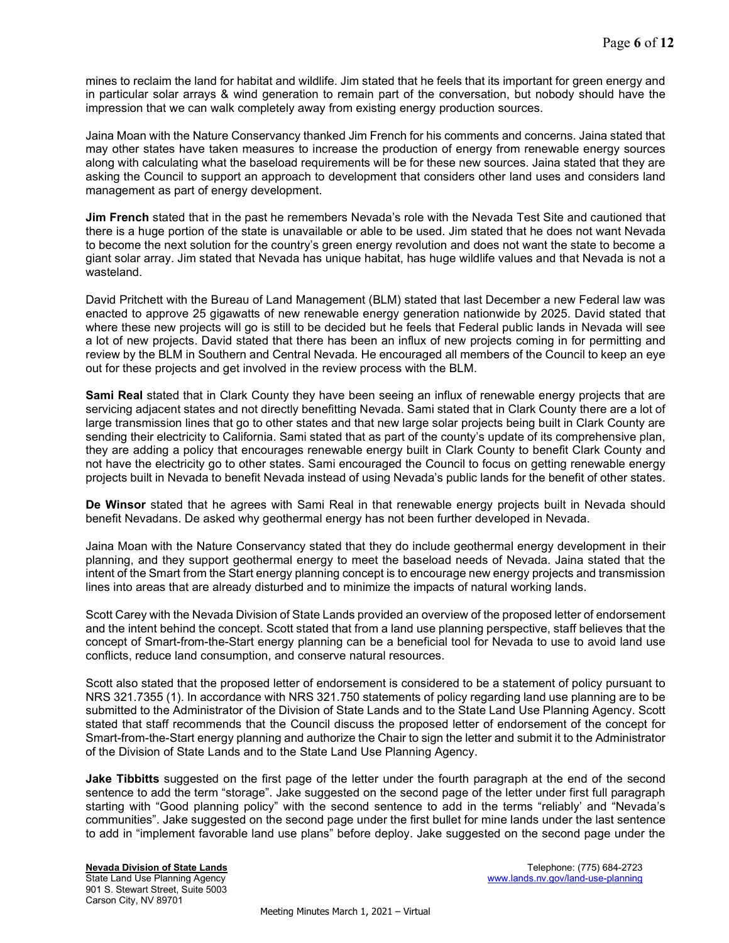mines to reclaim the land for habitat and wildlife. Jim stated that he feels that its important for green energy and in particular solar arrays & wind generation to remain part of the conversation, but nobody should have the impression that we can walk completely away from existing energy production sources.

Jaina Moan with the Nature Conservancy thanked Jim French for his comments and concerns. Jaina stated that may other states have taken measures to increase the production of energy from renewable energy sources along with calculating what the baseload requirements will be for these new sources. Jaina stated that they are asking the Council to support an approach to development that considers other land uses and considers land management as part of energy development.

**Jim French** stated that in the past he remembers Nevada's role with the Nevada Test Site and cautioned that there is a huge portion of the state is unavailable or able to be used. Jim stated that he does not want Nevada to become the next solution for the country's green energy revolution and does not want the state to become a giant solar array. Jim stated that Nevada has unique habitat, has huge wildlife values and that Nevada is not a wasteland.

David Pritchett with the Bureau of Land Management (BLM) stated that last December a new Federal law was enacted to approve 25 gigawatts of new renewable energy generation nationwide by 2025. David stated that where these new projects will go is still to be decided but he feels that Federal public lands in Nevada will see a lot of new projects. David stated that there has been an influx of new projects coming in for permitting and review by the BLM in Southern and Central Nevada. He encouraged all members of the Council to keep an eye out for these projects and get involved in the review process with the BLM.

Sami Real stated that in Clark County they have been seeing an influx of renewable energy projects that are servicing adjacent states and not directly benefitting Nevada. Sami stated that in Clark County there are a lot of large transmission lines that go to other states and that new large solar projects being built in Clark County are sending their electricity to California. Sami stated that as part of the county's update of its comprehensive plan, they are adding a policy that encourages renewable energy built in Clark County to benefit Clark County and not have the electricity go to other states. Sami encouraged the Council to focus on getting renewable energy projects built in Nevada to benefit Nevada instead of using Nevada's public lands for the benefit of other states.

De Winsor stated that he agrees with Sami Real in that renewable energy projects built in Nevada should benefit Nevadans. De asked why geothermal energy has not been further developed in Nevada.

Jaina Moan with the Nature Conservancy stated that they do include geothermal energy development in their planning, and they support geothermal energy to meet the baseload needs of Nevada. Jaina stated that the intent of the Smart from the Start energy planning concept is to encourage new energy projects and transmission lines into areas that are already disturbed and to minimize the impacts of natural working lands.

Scott Carey with the Nevada Division of State Lands provided an overview of the proposed letter of endorsement and the intent behind the concept. Scott stated that from a land use planning perspective, staff believes that the concept of Smart-from-the-Start energy planning can be a beneficial tool for Nevada to use to avoid land use conflicts, reduce land consumption, and conserve natural resources.

Scott also stated that the proposed letter of endorsement is considered to be a statement of policy pursuant to NRS 321.7355 (1). In accordance with NRS 321.750 statements of policy regarding land use planning are to be submitted to the Administrator of the Division of State Lands and to the State Land Use Planning Agency. Scott stated that staff recommends that the Council discuss the proposed letter of endorsement of the concept for Smart-from-the-Start energy planning and authorize the Chair to sign the letter and submit it to the Administrator of the Division of State Lands and to the State Land Use Planning Agency.

**Jake Tibbitts** suggested on the first page of the letter under the fourth paragraph at the end of the second sentence to add the term "storage". Jake suggested on the second page of the letter under first full paragraph starting with "Good planning policy" with the second sentence to add in the terms "reliably' and "Nevada's communities". Jake suggested on the second page under the first bullet for mine lands under the last sentence to add in "implement favorable land use plans" before deploy. Jake suggested on the second page under the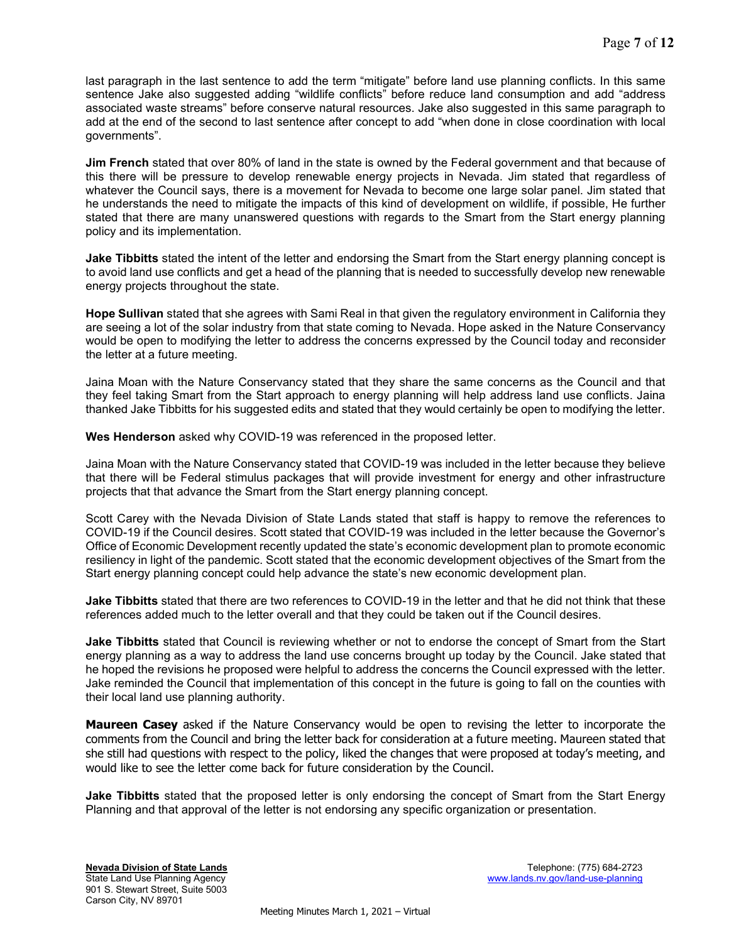last paragraph in the last sentence to add the term "mitigate" before land use planning conflicts. In this same sentence Jake also suggested adding "wildlife conflicts" before reduce land consumption and add "address associated waste streams" before conserve natural resources. Jake also suggested in this same paragraph to add at the end of the second to last sentence after concept to add "when done in close coordination with local governments".

Jim French stated that over 80% of land in the state is owned by the Federal government and that because of this there will be pressure to develop renewable energy projects in Nevada. Jim stated that regardless of whatever the Council says, there is a movement for Nevada to become one large solar panel. Jim stated that he understands the need to mitigate the impacts of this kind of development on wildlife, if possible, He further stated that there are many unanswered questions with regards to the Smart from the Start energy planning policy and its implementation.

Jake Tibbitts stated the intent of the letter and endorsing the Smart from the Start energy planning concept is to avoid land use conflicts and get a head of the planning that is needed to successfully develop new renewable energy projects throughout the state.

Hope Sullivan stated that she agrees with Sami Real in that given the regulatory environment in California they are seeing a lot of the solar industry from that state coming to Nevada. Hope asked in the Nature Conservancy would be open to modifying the letter to address the concerns expressed by the Council today and reconsider the letter at a future meeting.

Jaina Moan with the Nature Conservancy stated that they share the same concerns as the Council and that they feel taking Smart from the Start approach to energy planning will help address land use conflicts. Jaina thanked Jake Tibbitts for his suggested edits and stated that they would certainly be open to modifying the letter.

Wes Henderson asked why COVID-19 was referenced in the proposed letter.

Jaina Moan with the Nature Conservancy stated that COVID-19 was included in the letter because they believe that there will be Federal stimulus packages that will provide investment for energy and other infrastructure projects that that advance the Smart from the Start energy planning concept.

Scott Carey with the Nevada Division of State Lands stated that staff is happy to remove the references to COVID-19 if the Council desires. Scott stated that COVID-19 was included in the letter because the Governor's Office of Economic Development recently updated the state's economic development plan to promote economic resiliency in light of the pandemic. Scott stated that the economic development objectives of the Smart from the Start energy planning concept could help advance the state's new economic development plan.

Jake Tibbitts stated that there are two references to COVID-19 in the letter and that he did not think that these references added much to the letter overall and that they could be taken out if the Council desires.

Jake Tibbitts stated that Council is reviewing whether or not to endorse the concept of Smart from the Start energy planning as a way to address the land use concerns brought up today by the Council. Jake stated that he hoped the revisions he proposed were helpful to address the concerns the Council expressed with the letter. Jake reminded the Council that implementation of this concept in the future is going to fall on the counties with their local land use planning authority.

**Maureen Casey** asked if the Nature Conservancy would be open to revising the letter to incorporate the comments from the Council and bring the letter back for consideration at a future meeting. Maureen stated that she still had questions with respect to the policy, liked the changes that were proposed at today's meeting, and would like to see the letter come back for future consideration by the Council.

Jake Tibbitts stated that the proposed letter is only endorsing the concept of Smart from the Start Energy Planning and that approval of the letter is not endorsing any specific organization or presentation.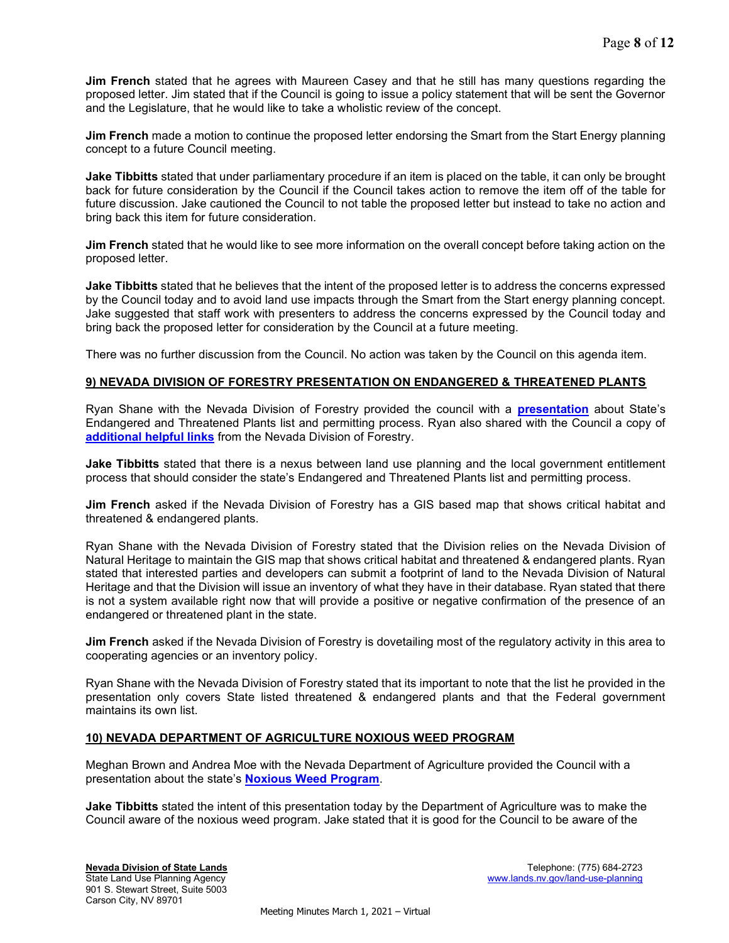**Jim French** stated that he agrees with Maureen Casey and that he still has many questions regarding the proposed letter. Jim stated that if the Council is going to issue a policy statement that will be sent the Governor and the Legislature, that he would like to take a wholistic review of the concept.

**Jim French** made a motion to continue the proposed letter endorsing the Smart from the Start Energy planning concept to a future Council meeting.

Jake Tibbitts stated that under parliamentary procedure if an item is placed on the table, it can only be brought back for future consideration by the Council if the Council takes action to remove the item off of the table for future discussion. Jake cautioned the Council to not table the proposed letter but instead to take no action and bring back this item for future consideration.

**Jim French** stated that he would like to see more information on the overall concept before taking action on the proposed letter.

**Jake Tibbitts** stated that he believes that the intent of the proposed letter is to address the concerns expressed by the Council today and to avoid land use impacts through the Smart from the Start energy planning concept. Jake suggested that staff work with presenters to address the concerns expressed by the Council today and bring back the proposed letter for consideration by the Council at a future meeting.

There was no further discussion from the Council. No action was taken by the Council on this agenda item.

### 9) NEVADA DIVISION OF FORESTRY PRESENTATION ON ENDANGERED & THREATENED PLANTS

Ryan Shane with the Nevada Division of Forestry provided the council with a **[presentation](https://lands.nv.gov/uploads/documents/NDF_Threatened_and_Endangered_Plants_Presentation.pdf)** about State's Endangered and Threatened Plants list and permitting process. Ryan also shared with the Council a copy of [additional helpful links](https://lands.nv.gov/uploads/documents/NDF_Additional_Links.pdf) from the Nevada Division of Forestry.

Jake Tibbitts stated that there is a nexus between land use planning and the local government entitlement process that should consider the state's Endangered and Threatened Plants list and permitting process.

**Jim French** asked if the Nevada Division of Forestry has a GIS based map that shows critical habitat and threatened & endangered plants.

Ryan Shane with the Nevada Division of Forestry stated that the Division relies on the Nevada Division of Natural Heritage to maintain the GIS map that shows critical habitat and threatened & endangered plants. Ryan stated that interested parties and developers can submit a footprint of land to the Nevada Division of Natural Heritage and that the Division will issue an inventory of what they have in their database. Ryan stated that there is not a system available right now that will provide a positive or negative confirmation of the presence of an endangered or threatened plant in the state.

Jim French asked if the Nevada Division of Forestry is dovetailing most of the regulatory activity in this area to cooperating agencies or an inventory policy.

Ryan Shane with the Nevada Division of Forestry stated that its important to note that the list he provided in the presentation only covers State listed threatened & endangered plants and that the Federal government maintains its own list.

### 10) NEVADA DEPARTMENT OF AGRICULTURE NOXIOUS WEED PROGRAM

Meghan Brown and Andrea Moe with the Nevada Department of Agriculture provided the Council with a presentation about the state's **[Noxious Weed Program](https://lands.nv.gov/uploads/documents/NDA_Noxious_Weeds_Program_Presentation.pdf)**.

**Jake Tibbitts** stated the intent of this presentation today by the Department of Agriculture was to make the Council aware of the noxious weed program. Jake stated that it is good for the Council to be aware of the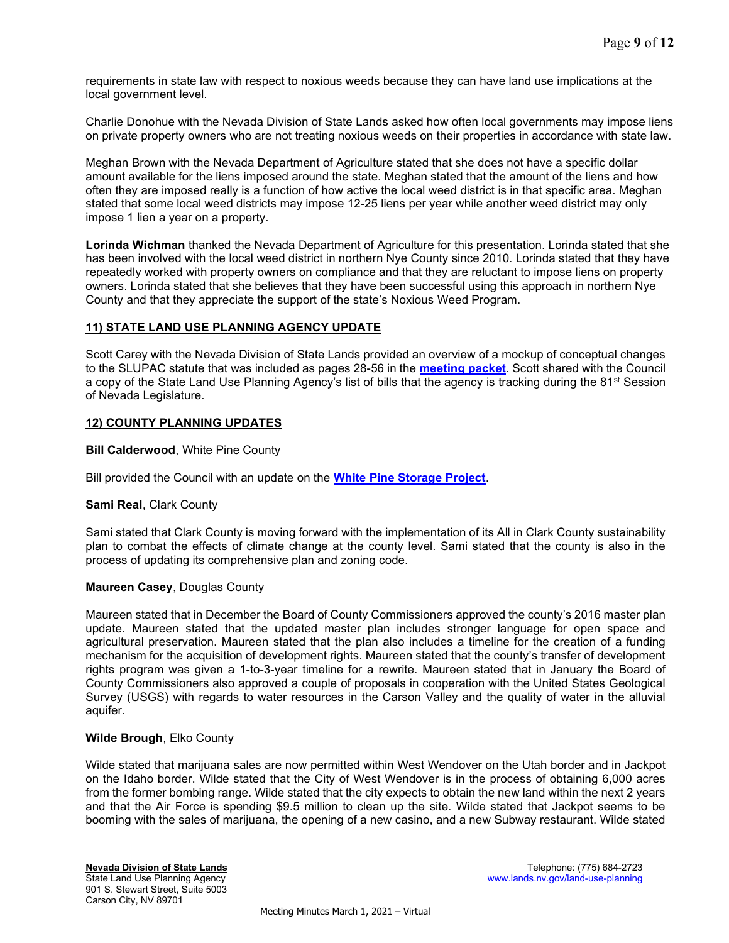requirements in state law with respect to noxious weeds because they can have land use implications at the local government level.

Charlie Donohue with the Nevada Division of State Lands asked how often local governments may impose liens on private property owners who are not treating noxious weeds on their properties in accordance with state law.

Meghan Brown with the Nevada Department of Agriculture stated that she does not have a specific dollar amount available for the liens imposed around the state. Meghan stated that the amount of the liens and how often they are imposed really is a function of how active the local weed district is in that specific area. Meghan stated that some local weed districts may impose 12-25 liens per year while another weed district may only impose 1 lien a year on a property.

Lorinda Wichman thanked the Nevada Department of Agriculture for this presentation. Lorinda stated that she has been involved with the local weed district in northern Nye County since 2010. Lorinda stated that they have repeatedly worked with property owners on compliance and that they are reluctant to impose liens on property owners. Lorinda stated that she believes that they have been successful using this approach in northern Nye County and that they appreciate the support of the state's Noxious Weed Program.

# 11) STATE LAND USE PLANNING AGENCY UPDATE

Scott Carey with the Nevada Division of State Lands provided an overview of a mockup of conceptual changes to the SLUPAC statute that was included as pages 28-56 in the **[meeting packet](https://clearinghouse.nv.gov/HTMLtoPDF/ViewSavedForms.aspx?DocLoc=SITE&DocKey=2003&ViewKey=HRT4AU6EA3)**. Scott shared with the Council a copy of the State Land Use Planning Agency's list of bills that the agency is tracking during the 81<sup>st</sup> Session of Nevada Legislature.

# 12) COUNTY PLANNING UPDATES

Bill Calderwood, White Pine County

Bill provided the Council with an update on the **[White Pine Storage Project](https://lands.nv.gov/uploads/documents/White_Pine_County_Update.pdf)**.

### Sami Real, Clark County

Sami stated that Clark County is moving forward with the implementation of its All in Clark County sustainability plan to combat the effects of climate change at the county level. Sami stated that the county is also in the process of updating its comprehensive plan and zoning code.

### Maureen Casey, Douglas County

Maureen stated that in December the Board of County Commissioners approved the county's 2016 master plan update. Maureen stated that the updated master plan includes stronger language for open space and agricultural preservation. Maureen stated that the plan also includes a timeline for the creation of a funding mechanism for the acquisition of development rights. Maureen stated that the county's transfer of development rights program was given a 1-to-3-year timeline for a rewrite. Maureen stated that in January the Board of County Commissioners also approved a couple of proposals in cooperation with the United States Geological Survey (USGS) with regards to water resources in the Carson Valley and the quality of water in the alluvial aquifer.

### Wilde Brough, Elko County

Wilde stated that marijuana sales are now permitted within West Wendover on the Utah border and in Jackpot on the Idaho border. Wilde stated that the City of West Wendover is in the process of obtaining 6,000 acres from the former bombing range. Wilde stated that the city expects to obtain the new land within the next 2 years and that the Air Force is spending \$9.5 million to clean up the site. Wilde stated that Jackpot seems to be booming with the sales of marijuana, the opening of a new casino, and a new Subway restaurant. Wilde stated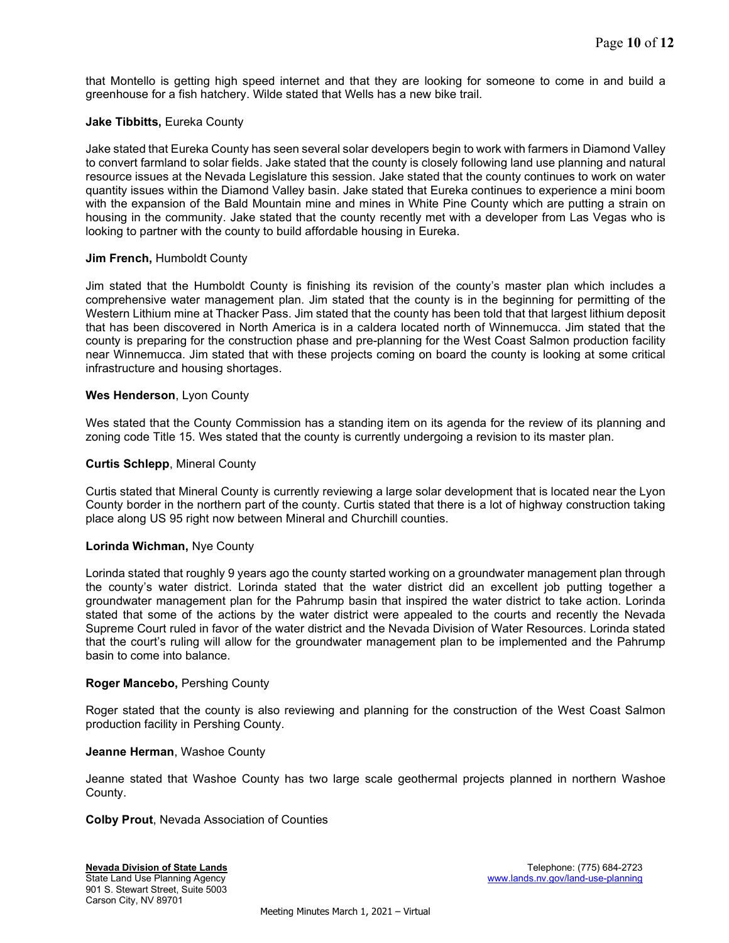that Montello is getting high speed internet and that they are looking for someone to come in and build a greenhouse for a fish hatchery. Wilde stated that Wells has a new bike trail.

### Jake Tibbitts, Eureka County

Jake stated that Eureka County has seen several solar developers begin to work with farmers in Diamond Valley to convert farmland to solar fields. Jake stated that the county is closely following land use planning and natural resource issues at the Nevada Legislature this session. Jake stated that the county continues to work on water quantity issues within the Diamond Valley basin. Jake stated that Eureka continues to experience a mini boom with the expansion of the Bald Mountain mine and mines in White Pine County which are putting a strain on housing in the community. Jake stated that the county recently met with a developer from Las Vegas who is looking to partner with the county to build affordable housing in Eureka.

### Jim French, Humboldt County

Jim stated that the Humboldt County is finishing its revision of the county's master plan which includes a comprehensive water management plan. Jim stated that the county is in the beginning for permitting of the Western Lithium mine at Thacker Pass. Jim stated that the county has been told that that largest lithium deposit that has been discovered in North America is in a caldera located north of Winnemucca. Jim stated that the county is preparing for the construction phase and pre-planning for the West Coast Salmon production facility near Winnemucca. Jim stated that with these projects coming on board the county is looking at some critical infrastructure and housing shortages.

## Wes Henderson, Lyon County

Wes stated that the County Commission has a standing item on its agenda for the review of its planning and zoning code Title 15. Wes stated that the county is currently undergoing a revision to its master plan.

## Curtis Schlepp, Mineral County

Curtis stated that Mineral County is currently reviewing a large solar development that is located near the Lyon County border in the northern part of the county. Curtis stated that there is a lot of highway construction taking place along US 95 right now between Mineral and Churchill counties.

### Lorinda Wichman, Nye County

Lorinda stated that roughly 9 years ago the county started working on a groundwater management plan through the county's water district. Lorinda stated that the water district did an excellent job putting together a groundwater management plan for the Pahrump basin that inspired the water district to take action. Lorinda stated that some of the actions by the water district were appealed to the courts and recently the Nevada Supreme Court ruled in favor of the water district and the Nevada Division of Water Resources. Lorinda stated that the court's ruling will allow for the groundwater management plan to be implemented and the Pahrump basin to come into balance.

### Roger Mancebo, Pershing County

Roger stated that the county is also reviewing and planning for the construction of the West Coast Salmon production facility in Pershing County.

### Jeanne Herman, Washoe County

Jeanne stated that Washoe County has two large scale geothermal projects planned in northern Washoe County.

Colby Prout, Nevada Association of Counties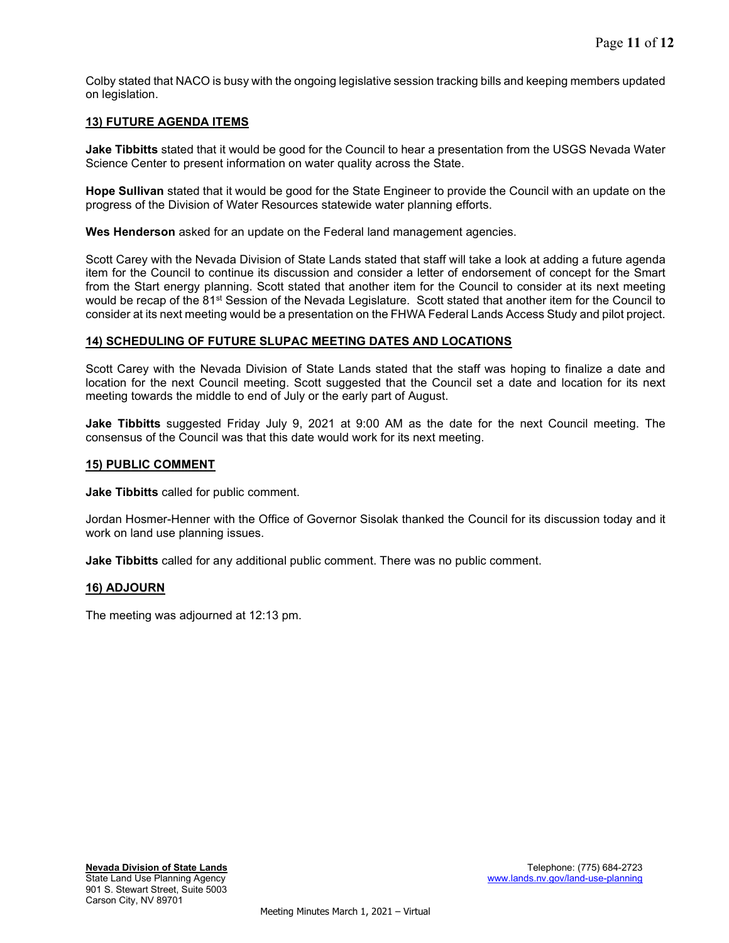Colby stated that NACO is busy with the ongoing legislative session tracking bills and keeping members updated on legislation.

## 13) FUTURE AGENDA ITEMS

Jake Tibbitts stated that it would be good for the Council to hear a presentation from the USGS Nevada Water Science Center to present information on water quality across the State.

Hope Sullivan stated that it would be good for the State Engineer to provide the Council with an update on the progress of the Division of Water Resources statewide water planning efforts.

Wes Henderson asked for an update on the Federal land management agencies.

Scott Carey with the Nevada Division of State Lands stated that staff will take a look at adding a future agenda item for the Council to continue its discussion and consider a letter of endorsement of concept for the Smart from the Start energy planning. Scott stated that another item for the Council to consider at its next meeting would be recap of the 81<sup>st</sup> Session of the Nevada Legislature. Scott stated that another item for the Council to consider at its next meeting would be a presentation on the FHWA Federal Lands Access Study and pilot project.

### 14) SCHEDULING OF FUTURE SLUPAC MEETING DATES AND LOCATIONS

Scott Carey with the Nevada Division of State Lands stated that the staff was hoping to finalize a date and location for the next Council meeting. Scott suggested that the Council set a date and location for its next meeting towards the middle to end of July or the early part of August.

**Jake Tibbitts** suggested Friday July 9, 2021 at 9:00 AM as the date for the next Council meeting. The consensus of the Council was that this date would work for its next meeting.

#### 15) PUBLIC COMMENT

Jake Tibbitts called for public comment.

Jordan Hosmer-Henner with the Office of Governor Sisolak thanked the Council for its discussion today and it work on land use planning issues.

Jake Tibbitts called for any additional public comment. There was no public comment.

#### 16) ADJOURN

The meeting was adjourned at 12:13 pm.